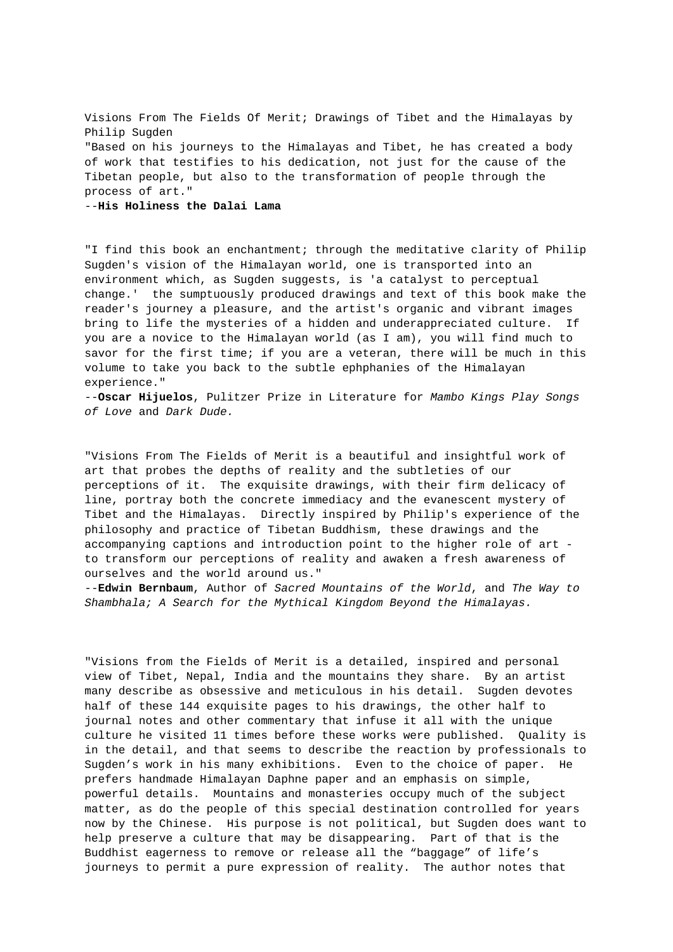Visions From The Fields Of Merit; Drawings of Tibet and the Himalayas by Philip Sugden "Based on his journeys to the Himalayas and Tibet, he has created a body of work that testifies to his dedication, not just for the cause of the Tibetan people, but also to the transformation of people through the process of art." --**His Holiness the Dalai Lama**

"I find this book an enchantment; through the meditative clarity of Philip Sugden's vision of the Himalayan world, one is transported into an environment which, as Sugden suggests, is 'a catalyst to perceptual change.' the sumptuously produced drawings and text of this book make the reader's journey a pleasure, and the artist's organic and vibrant images bring to life the mysteries of a hidden and underappreciated culture. If you are a novice to the Himalayan world (as I am), you will find much to savor for the first time; if you are a veteran, there will be much in this volume to take you back to the subtle ephphanies of the Himalayan experience."

--**Oscar Hijuelos**, Pulitzer Prize in Literature for Mambo Kings Play Songs of Love and Dark Dude.

"Visions From The Fields of Merit is a beautiful and insightful work of art that probes the depths of reality and the subtleties of our perceptions of it. The exquisite drawings, with their firm delicacy of line, portray both the concrete immediacy and the evanescent mystery of Tibet and the Himalayas. Directly inspired by Philip's experience of the philosophy and practice of Tibetan Buddhism, these drawings and the accompanying captions and introduction point to the higher role of art to transform our perceptions of reality and awaken a fresh awareness of ourselves and the world around us."

--**Edwin Bernbaum**, Author of Sacred Mountains of the World, and The Way to Shambhala; A Search for the Mythical Kingdom Beyond the Himalayas.

"Visions from the Fields of Merit is a detailed, inspired and personal view of Tibet, Nepal, India and the mountains they share. By an artist many describe as obsessive and meticulous in his detail. Sugden devotes half of these 144 exquisite pages to his drawings, the other half to journal notes and other commentary that infuse it all with the unique culture he visited 11 times before these works were published. Quality is in the detail, and that seems to describe the reaction by professionals to Sugden's work in his many exhibitions. Even to the choice of paper. He prefers handmade Himalayan Daphne paper and an emphasis on simple, powerful details. Mountains and monasteries occupy much of the subject matter, as do the people of this special destination controlled for years now by the Chinese. His purpose is not political, but Sugden does want to help preserve a culture that may be disappearing. Part of that is the Buddhist eagerness to remove or release all the "baggage" of life's journeys to permit a pure expression of reality. The author notes that